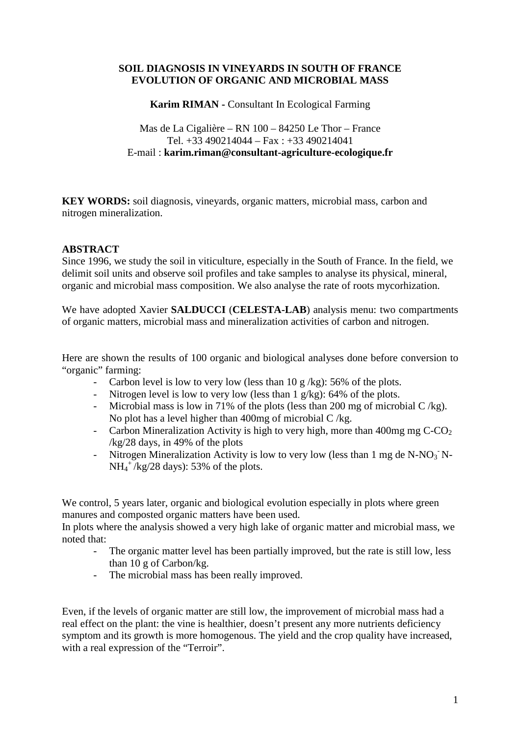## **SOIL DIAGNOSIS IN VINEYARDS IN SOUTH OF FRANCE EVOLUTION OF ORGANIC AND MICROBIAL MASS**

**Karim RIMAN -** Consultant In Ecological Farming

Mas de La Cigalière – RN 100 – 84250 Le Thor – France Tel.  $+33490214044 - \text{Fax} : +33490214041$ E-mail : **karim.riman@consultant-agriculture-ecologique.fr**

**KEY WORDS:** soil diagnosis, vineyards, organic matters, microbial mass, carbon and nitrogen mineralization.

#### **ABSTRACT**

Since 1996, we study the soil in viticulture, especially in the South of France. In the field, we delimit soil units and observe soil profiles and take samples to analyse its physical, mineral, organic and microbial mass composition. We also analyse the rate of roots mycorhization.

We have adopted Xavier **SALDUCCI** (**CELESTA-LAB**) analysis menu: two compartments of organic matters, microbial mass and mineralization activities of carbon and nitrogen.

Here are shown the results of 100 organic and biological analyses done before conversion to "organic" farming:

- Carbon level is low to very low (less than  $10 \frac{g}{kg}$ ): 56% of the plots.
- Nitrogen level is low to very low (less than 1 g/kg): 64% of the plots.
- Microbial mass is low in 71% of the plots (less than 200 mg of microbial  $C/kg$ ). No plot has a level higher than 400mg of microbial C /kg.
- Carbon Mineralization Activity is high to very high, more than 400mg mg  $C-CO<sub>2</sub>$ /kg/28 days, in 49% of the plots
- Nitrogen Mineralization Activity is low to very low (less than 1 mg de N-NO<sub>3</sub> N- $NH_4^+$ /kg/28 days): 53% of the plots.

We control, 5 years later, organic and biological evolution especially in plots where green manures and composted organic matters have been used.

In plots where the analysis showed a very high lake of organic matter and microbial mass, we noted that:

- The organic matter level has been partially improved, but the rate is still low, less than 10 g of Carbon/kg.
- The microbial mass has been really improved.

Even, if the levels of organic matter are still low, the improvement of microbial mass had a real effect on the plant: the vine is healthier, doesn't present any more nutrients deficiency symptom and its growth is more homogenous. The yield and the crop quality have increased, with a real expression of the "Terroir".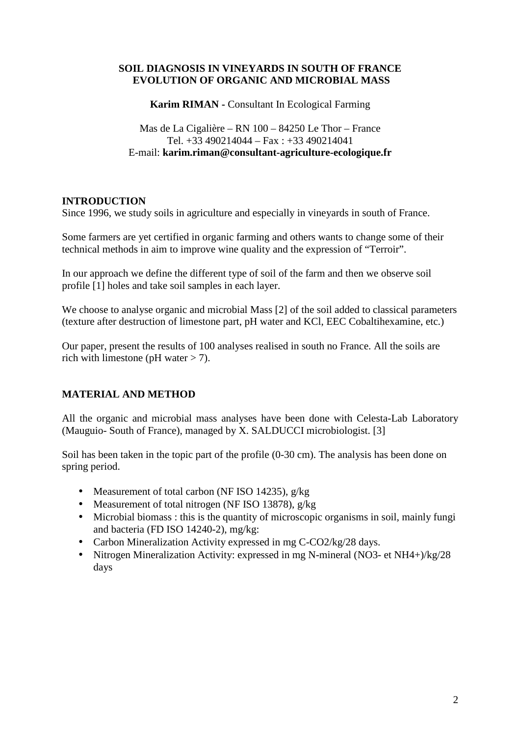## **SOIL DIAGNOSIS IN VINEYARDS IN SOUTH OF FRANCE EVOLUTION OF ORGANIC AND MICROBIAL MASS**

**Karim RIMAN -** Consultant In Ecological Farming

Mas de La Cigalière – RN 100 – 84250 Le Thor – France Tel.  $+33490214044 - \text{Fax} : +33490214041$ E-mail: **karim.riman@consultant-agriculture-ecologique.fr**

## **INTRODUCTION**

Since 1996, we study soils in agriculture and especially in vineyards in south of France.

Some farmers are yet certified in organic farming and others wants to change some of their technical methods in aim to improve wine quality and the expression of "Terroir".

In our approach we define the different type of soil of the farm and then we observe soil profile [1] holes and take soil samples in each layer.

We choose to analyse organic and microbial Mass [2] of the soil added to classical parameters (texture after destruction of limestone part, pH water and KCl, EEC Cobaltihexamine, etc.)

Our paper, present the results of 100 analyses realised in south no France. All the soils are rich with limestone (pH water  $>$  7).

## **MATERIAL AND METHOD**

All the organic and microbial mass analyses have been done with Celesta-Lab Laboratory (Mauguio- South of France), managed by X. SALDUCCI microbiologist. [3]

Soil has been taken in the topic part of the profile (0-30 cm). The analysis has been done on spring period.

- Measurement of total carbon (NF ISO 14235), g/kg
- Measurement of total nitrogen (NF ISO 13878), g/kg
- Microbial biomass : this is the quantity of microscopic organisms in soil, mainly fungi and bacteria (FD ISO 14240-2), mg/kg:
- Carbon Mineralization Activity expressed in mg C-CO2/kg/28 days.
- Nitrogen Mineralization Activity: expressed in mg N-mineral (NO3- et NH4+)/kg/28 days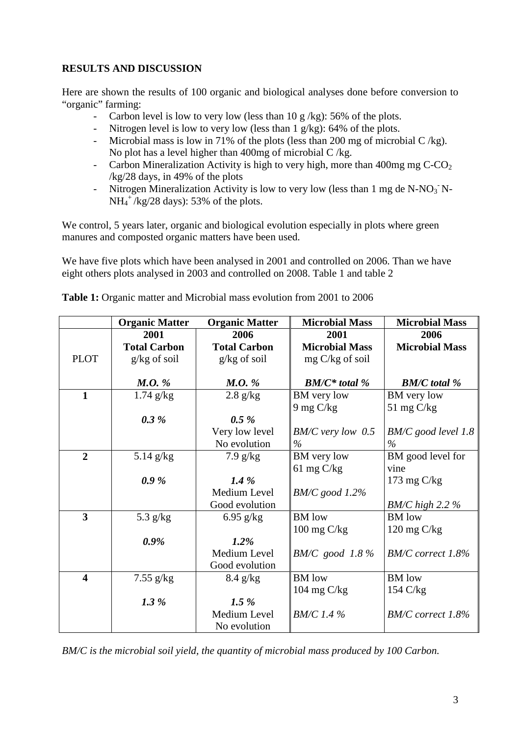# **RESULTS AND DISCUSSION**

Here are shown the results of 100 organic and biological analyses done before conversion to "organic" farming:

- Carbon level is low to very low (less than 10 g/kg): 56% of the plots.
- Nitrogen level is low to very low (less than 1 g/kg): 64% of the plots.
- Microbial mass is low in 71% of the plots (less than 200 mg of microbial  $C/kg$ ). No plot has a level higher than  $400mg$  of microbial C/kg.
- Carbon Mineralization Activity is high to very high, more than 400mg mg  $C-CO<sub>2</sub>$ /kg/28 days, in 49% of the plots
- Nitrogen Mineralization Activity is low to very low (less than 1 mg de N-NO<sub>3</sub> N- $NH_4^+$ /kg/28 days): 53% of the plots.

We control, 5 years later, organic and biological evolution especially in plots where green manures and composted organic matters have been used.

We have five plots which have been analysed in 2001 and controlled on 2006. Than we have eight others plots analysed in 2003 and controlled on 2008. Table 1 and table 2

|                         | <b>Organic Matter</b> | <b>Organic Matter</b> | <b>Microbial Mass</b> | <b>Microbial Mass</b> |
|-------------------------|-----------------------|-----------------------|-----------------------|-----------------------|
|                         | 2001                  | 2006                  | 2001                  | 2006                  |
|                         | <b>Total Carbon</b>   | <b>Total Carbon</b>   | <b>Microbial Mass</b> | <b>Microbial Mass</b> |
| <b>PLOT</b>             | $g/kg$ of soil        | $g/kg$ of soil        | mg C/kg of soil       |                       |
|                         |                       |                       |                       |                       |
|                         | $M.O.$ %              | M.O. %                | $BM/C^*$ total %      | <b>BM/C</b> total %   |
| $\mathbf{1}$            | $1.74$ g/kg           | $2.8$ g/kg            | BM very low           | BM very low           |
|                         |                       |                       | $9 \text{ mg C/kg}$   | 51 mg $C/kg$          |
|                         | 0.3%                  | $0.5\%$               |                       |                       |
|                         |                       | Very low level        | $BM/C$ very low 0.5   | $BM/C$ good level 1.8 |
|                         |                       | No evolution          | $\%$                  | $\%$                  |
| $\overline{2}$          | $5.14$ g/kg           | $7.9$ g/kg            | BM very low           | BM good level for     |
|                         |                       |                       | 61 mg $C/kg$          | vine                  |
|                         | 0.9%                  | $1.4\%$               |                       | 173 mg $C/kg$         |
|                         |                       | Medium Level          | $BM/C$ good $1.2\%$   |                       |
|                         |                       | Good evolution        |                       | $BM/C$ high 2.2 %     |
| 3                       | 5.3 $g/kg$            | 6.95 $g/kg$           | <b>BM</b> low         | <b>BM</b> low         |
|                         |                       |                       | $100 \text{ mg C/kg}$ | $120 \text{ mg C/kg}$ |
|                         | $0.9\%$               | $1.2\%$               |                       |                       |
|                         |                       | Medium Level          | $BM/C$ good 1.8%      | BM/C correct 1.8%     |
|                         |                       | Good evolution        |                       |                       |
| $\overline{\mathbf{4}}$ | $7.55$ g/kg           | $8.4$ g/kg            | <b>BM</b> low         | <b>BM</b> low         |
|                         |                       |                       | 104 mg C/kg           | $154 \text{ C/kg}$    |
|                         | 1.3 %                 | $1.5\%$               |                       |                       |
|                         |                       | Medium Level          | <b>BM/C</b> 1.4 %     | BM/C correct 1.8%     |
|                         |                       | No evolution          |                       |                       |

**Table 1:** Organic matter and Microbial mass evolution from 2001 to 2006

*BM/C is the microbial soil yield, the quantity of microbial mass produced by 100 Carbon.*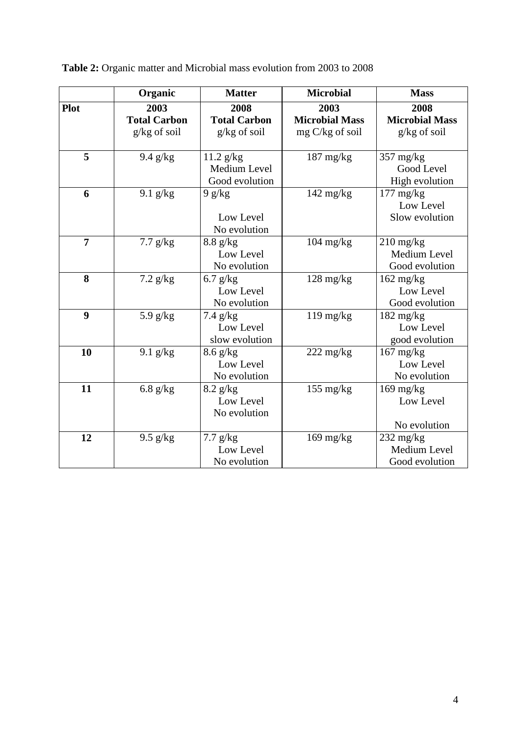|                | Organic             | <b>Matter</b>       | <b>Microbial</b>       | <b>Mass</b>                       |
|----------------|---------------------|---------------------|------------------------|-----------------------------------|
| Plot           | 2003                | 2008                | 2003                   | 2008                              |
|                | <b>Total Carbon</b> | <b>Total Carbon</b> | <b>Microbial Mass</b>  | <b>Microbial Mass</b>             |
|                | $g/kg$ of soil      | $g/kg$ of soil      | $mg \, C/kg$ of soil   | $g/kg$ of soil                    |
|                |                     |                     |                        |                                   |
| 5              | $9.4$ g/kg          | $11.2$ g/kg         | $187$ mg/kg            | $357 \text{ mg/kg}$               |
|                |                     | Medium Level        |                        | Good Level                        |
|                |                     | Good evolution      |                        | High evolution                    |
| 6              | $9.1$ g/kg          | 9 g/kg              | $142 \text{ mg/kg}$    | $177 \text{ mg/kg}$               |
|                |                     |                     |                        | Low Level                         |
|                |                     | Low Level           |                        | Slow evolution                    |
|                |                     | No evolution        |                        |                                   |
| $\overline{7}$ | $7.7$ g/kg          | $8.8$ g/kg          | $104$ mg/kg            | $210 \frac{\text{mg}}{\text{kg}}$ |
|                |                     | Low Level           |                        | Medium Level                      |
|                |                     | No evolution        |                        | Good evolution                    |
| 8              | $7.2$ g/kg          | $6.7$ g/kg          | $128$ mg/kg            | $162$ mg/kg                       |
|                |                     | Low Level           |                        | Low Level                         |
|                |                     | No evolution        |                        | Good evolution                    |
| 9              | 5.9 $g/kg$          | $7.4$ g/kg          | $119$ mg/kg            | $182 \text{ mg/kg}$               |
|                |                     | Low Level           |                        | Low Level                         |
|                |                     | slow evolution      |                        | good evolution                    |
| 10             | $9.1$ g/kg          | $8.6$ g/kg          | $222 \text{ mg/kg}$    | $167 \text{ mg/kg}$               |
|                |                     | Low Level           |                        | Low Level                         |
|                |                     | No evolution        |                        | No evolution                      |
| 11             | $6.8$ g/kg          | $8.2$ g/kg          | $155 \ \mathrm{mg/kg}$ | $169$ mg/kg                       |
|                |                     | Low Level           |                        | Low Level                         |
|                |                     | No evolution        |                        |                                   |
|                |                     |                     |                        | No evolution                      |
| 12             | $9.5$ g/kg          | $7.7$ g/kg          | $169$ mg/kg            | $232 \text{ mg/kg}$               |
|                |                     | Low Level           |                        | Medium Level                      |
|                |                     | No evolution        |                        | Good evolution                    |

**Table 2:** Organic matter and Microbial mass evolution from 2003 to 2008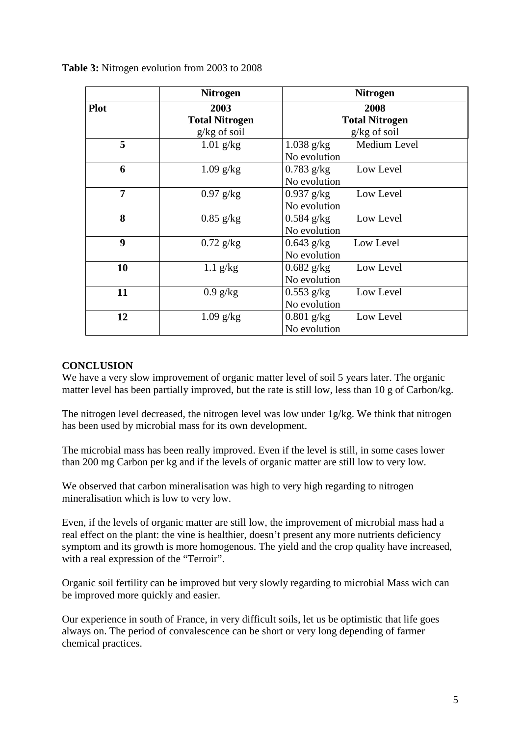|                  | <b>Nitrogen</b>       | <b>Nitrogen</b>              |  |
|------------------|-----------------------|------------------------------|--|
| <b>Plot</b>      | 2003                  | 2008                         |  |
|                  | <b>Total Nitrogen</b> | <b>Total Nitrogen</b>        |  |
|                  | $g/kg$ of soil        | $g/kg$ of soil               |  |
| 5                | $1.01$ g/kg           | Medium Level<br>$1.038$ g/kg |  |
|                  |                       | No evolution                 |  |
| 6                | $1.09$ g/kg           | $0.783$ g/kg<br>Low Level    |  |
|                  |                       | No evolution                 |  |
| 7                | $0.97$ g/kg           | $0.937$ g/kg<br>Low Level    |  |
|                  |                       | No evolution                 |  |
| 8                | $0.85$ g/kg           | $0.584$ g/kg<br>Low Level    |  |
|                  |                       | No evolution                 |  |
| $\boldsymbol{9}$ | $0.72$ g/kg           | $0.643$ g/kg<br>Low Level    |  |
|                  |                       | No evolution                 |  |
| 10               | $1.1$ g/kg            | $0.682$ g/kg<br>Low Level    |  |
|                  |                       | No evolution                 |  |
| 11               | $0.9$ g/kg            | Low Level<br>$0.553$ g/kg    |  |
|                  |                       | No evolution                 |  |
| 12               | $1.09$ g/kg           | $0.801$ g/kg<br>Low Level    |  |
|                  |                       | No evolution                 |  |

## **Table 3:** Nitrogen evolution from 2003 to 2008

#### **CONCLUSION**

We have a very slow improvement of organic matter level of soil 5 years later. The organic matter level has been partially improved, but the rate is still low, less than 10 g of Carbon/kg.

The nitrogen level decreased, the nitrogen level was low under 1g/kg. We think that nitrogen has been used by microbial mass for its own development.

The microbial mass has been really improved. Even if the level is still, in some cases lower than 200 mg Carbon per kg and if the levels of organic matter are still low to very low.

We observed that carbon mineralisation was high to very high regarding to nitrogen mineralisation which is low to very low.

Even, if the levels of organic matter are still low, the improvement of microbial mass had a real effect on the plant: the vine is healthier, doesn't present any more nutrients deficiency symptom and its growth is more homogenous. The yield and the crop quality have increased, with a real expression of the "Terroir".

Organic soil fertility can be improved but very slowly regarding to microbial Mass wich can be improved more quickly and easier.

Our experience in south of France, in very difficult soils, let us be optimistic that life goes always on. The period of convalescence can be short or very long depending of farmer chemical practices.